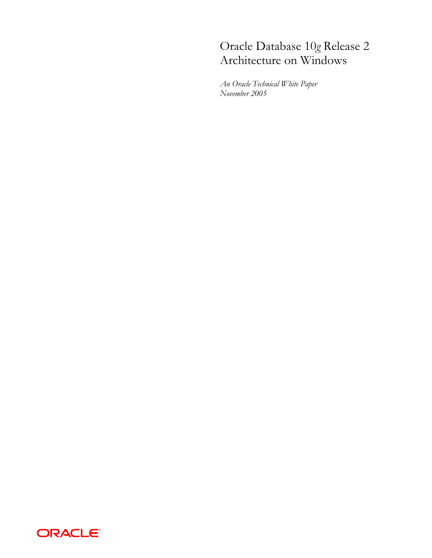# Oracle Database 10*g* Release 2 Architecture on Windows

*An Oracle Technical White Paper November 2005* 

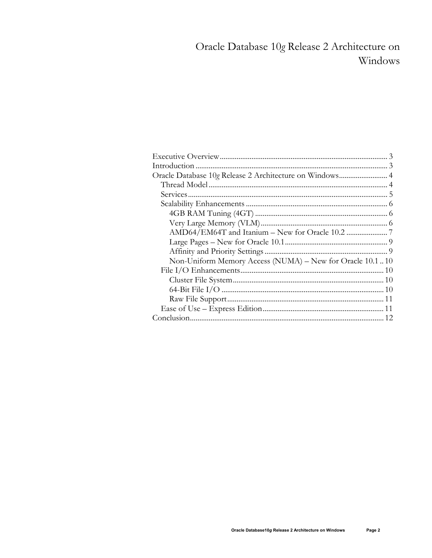# Oracle Database 10g Release 2 Architecture on Windows

| Oracle Database 10g Release 2 Architecture on Windows 4   |
|-----------------------------------------------------------|
|                                                           |
|                                                           |
|                                                           |
|                                                           |
|                                                           |
|                                                           |
|                                                           |
|                                                           |
| Non-Uniform Memory Access (NUMA) - New for Oracle 10.1 10 |
|                                                           |
|                                                           |
|                                                           |
|                                                           |
|                                                           |
|                                                           |
|                                                           |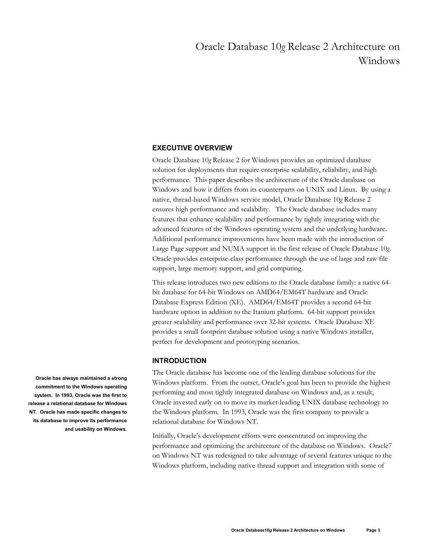## Oracle Database 10*g* Release 2 Architecture on Windows

## **EXECUTIVE OVERVIEW**

Oracle Database 10*g* Release 2 for Windows provides an optimized database solution for deployments that require enterprise scalability, reliability, and high performance. This paper describes the architecture of the Oracle database on Windows and how it differs from its counterparts on UNIX and Linux. By using a native, thread-based Windows service model, Oracle Database 10*g* Release 2 ensures high performance and scalability. The Oracle database includes many features that enhance scalability and performance by tightly integrating with the advanced features of the Windows operating system and the underlying hardware. Additional performance improvements have been made with the introduction of Large Page support and NUMA support in the first release of Oracle Database 10*g*. Oracle provides enterprise-class performance through the use of large and raw file support, large memory support, and grid computing.

This release introduces two new editions to the Oracle database family: a native 64 bit database for 64-bit Windows on AMD64/EM64T hardware and Oracle Database Express Edition (XE). AMD64/EM64T provides a second 64-bit hardware option in addition to the Itanium platform. 64-bit support provides greater scalability and performance over 32-bit systems. Oracle Database XE provides a small footprint database solution using a native Windows installer, perfect for development and prototyping scenarios.

## **INTRODUCTION**

The Oracle database has become one of the leading database solutions for the Windows platform. From the outset, Oracle's goal has been to provide the highest performing and most tightly integrated database on Windows and, as a result, Oracle invested early on to move its market-leading UNIX database technology to the Windows platform. In 1993, Oracle was the first company to provide a relational database for Windows NT.

Initially, Oracle's development efforts were concentrated on improving the performance and optimizing the architecture of the database on Windows. Oracle7 on Windows NT was redesigned to take advantage of several features unique to the Windows platform, including native thread support and integration with some of

**Oracle has always maintained a strong commitment to the Windows operating system. In 1993, Oracle was the first to release a relational database for Windows NT. Oracle has made specific changes to its database to improve its performance and usability on Windows.**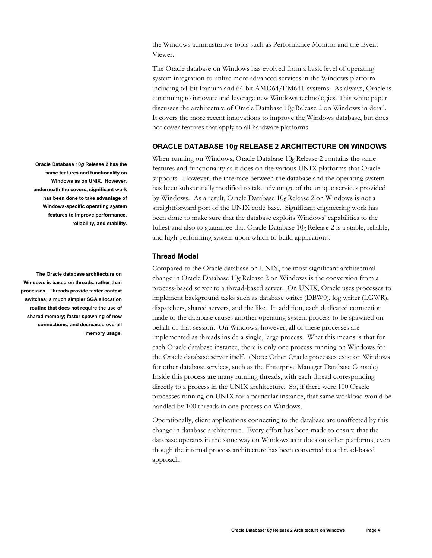the Windows administrative tools such as Performance Monitor and the Event Viewer.

The Oracle database on Windows has evolved from a basic level of operating system integration to utilize more advanced services in the Windows platform including 64-bit Itanium and 64-bit AMD64/EM64T systems. As always, Oracle is continuing to innovate and leverage new Windows technologies. This white paper discusses the architecture of Oracle Database 10*g* Release 2 on Windows in detail. It covers the more recent innovations to improve the Windows database, but does not cover features that apply to all hardware platforms.

## **ORACLE DATABASE 10***g* **RELEASE 2 ARCHITECTURE ON WINDOWS**

When running on Windows, Oracle Database 10*g* Release 2 contains the same features and functionality as it does on the various UNIX platforms that Oracle supports. However, the interface between the database and the operating system has been substantially modified to take advantage of the unique services provided by Windows. As a result, Oracle Database 10*g* Release 2 on Windows is not a straightforward port of the UNIX code base. Significant engineering work has been done to make sure that the database exploits Windows' capabilities to the fullest and also to guarantee that Oracle Database 10*g* Release 2 is a stable, reliable, and high performing system upon which to build applications.

## **Thread Model**

Compared to the Oracle database on UNIX, the most significant architectural change in Oracle Database 10*g* Release 2 on Windows is the conversion from a process-based server to a thread-based server. On UNIX, Oracle uses processes to implement background tasks such as database writer (DBW0), log writer (LGWR), dispatchers, shared servers, and the like. In addition, each dedicated connection made to the database causes another operating system process to be spawned on behalf of that session. On Windows, however, all of these processes are implemented as threads inside a single, large process. What this means is that for each Oracle database instance, there is only one process running on Windows for the Oracle database server itself. (Note: Other Oracle processes exist on Windows for other database services, such as the Enterprise Manager Database Console) Inside this process are many running threads, with each thread corresponding directly to a process in the UNIX architecture. So, if there were 100 Oracle processes running on UNIX for a particular instance, that same workload would be handled by 100 threads in one process on Windows.

Operationally, client applications connecting to the database are unaffected by this change in database architecture. Every effort has been made to ensure that the database operates in the same way on Windows as it does on other platforms, even though the internal process architecture has been converted to a thread-based approach.

**Oracle Database 10***g* **Release 2 has the same features and functionality on Windows as on UNIX. However, underneath the covers, significant work has been done to take advantage of Windows-specific operating system features to improve performance, reliability, and stability.** 

**The Oracle database architecture on Windows is based on threads, rather than processes. Threads provide faster context switches; a much simpler SGA allocation routine that does not require the use of shared memory; faster spawning of new connections; and decreased overall memory usage.**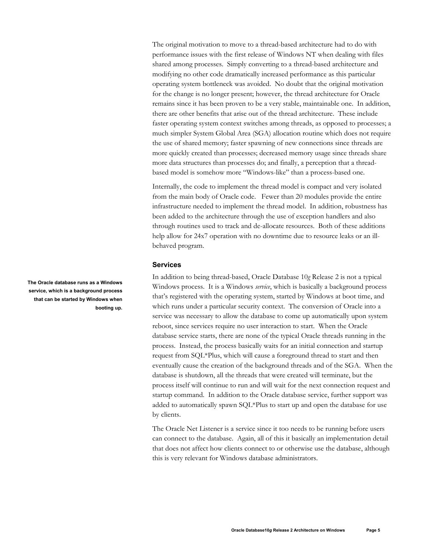The original motivation to move to a thread-based architecture had to do with performance issues with the first release of Windows NT when dealing with files shared among processes. Simply converting to a thread-based architecture and modifying no other code dramatically increased performance as this particular operating system bottleneck was avoided. No doubt that the original motivation for the change is no longer present; however, the thread architecture for Oracle remains since it has been proven to be a very stable, maintainable one. In addition, there are other benefits that arise out of the thread architecture. These include faster operating system context switches among threads, as opposed to processes; a much simpler System Global Area (SGA) allocation routine which does not require the use of shared memory; faster spawning of new connections since threads are more quickly created than processes; decreased memory usage since threads share more data structures than processes do; and finally, a perception that a threadbased model is somehow more "Windows-like" than a process-based one.

Internally, the code to implement the thread model is compact and very isolated from the main body of Oracle code. Fewer than 20 modules provide the entire infrastructure needed to implement the thread model. In addition, robustness has been added to the architecture through the use of exception handlers and also through routines used to track and de-allocate resources. Both of these additions help allow for 24x7 operation with no downtime due to resource leaks or an illbehaved program.

## **Services**

In addition to being thread-based, Oracle Database 10*g* Release 2 is not a typical Windows process. It is a Windows *service*, which is basically a background process that's registered with the operating system, started by Windows at boot time, and which runs under a particular security context. The conversion of Oracle into a service was necessary to allow the database to come up automatically upon system reboot, since services require no user interaction to start. When the Oracle database service starts, there are none of the typical Oracle threads running in the process. Instead, the process basically waits for an initial connection and startup request from SQL\*Plus, which will cause a foreground thread to start and then eventually cause the creation of the background threads and of the SGA. When the database is shutdown, all the threads that were created will terminate, but the process itself will continue to run and will wait for the next connection request and startup command. In addition to the Oracle database service, further support was added to automatically spawn SQL\*Plus to start up and open the database for use by clients.

The Oracle Net Listener is a service since it too needs to be running before users can connect to the database. Again, all of this it basically an implementation detail that does not affect how clients connect to or otherwise use the database, although this is very relevant for Windows database administrators.

**The Oracle database runs as a Windows service, which is a background process that can be started by Windows when booting up.**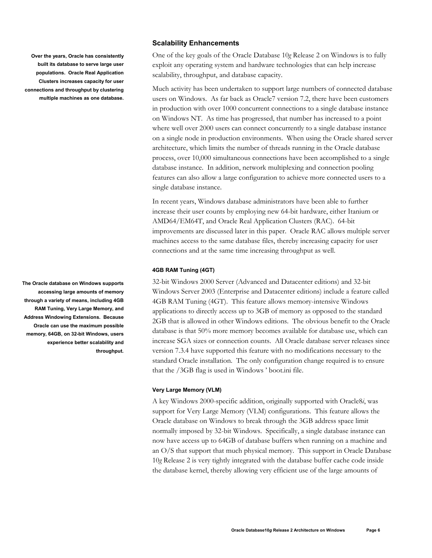**Over the years, Oracle has consistently built its database to serve large user populations. Oracle Real Application Clusters increases capacity for user connections and throughput by clustering multiple machines as one database.** 

**The Oracle database on Windows supports accessing large amounts of memory through a variety of means, including 4GB RAM Tuning, Very Large Memory, and Address Windowing Extensions. Because Oracle can use the maximum possible memory, 64GB, on 32-bit Windows, users experience better scalability and throughput.** 

## **Scalability Enhancements**

One of the key goals of the Oracle Database 10*g* Release 2 on Windows is to fully exploit any operating system and hardware technologies that can help increase scalability, throughput, and database capacity.

Much activity has been undertaken to support large numbers of connected database users on Windows. As far back as Oracle7 version 7.2, there have been customers in production with over 1000 concurrent connections to a single database instance on Windows NT. As time has progressed, that number has increased to a point where well over 2000 users can connect concurrently to a single database instance on a single node in production environments. When using the Oracle shared server architecture, which limits the number of threads running in the Oracle database process, over 10,000 simultaneous connections have been accomplished to a single database instance. In addition, network multiplexing and connection pooling features can also allow a large configuration to achieve more connected users to a single database instance.

In recent years, Windows database administrators have been able to further increase their user counts by employing new 64-bit hardware, either Itanium or AMD64/EM64T, and Oracle Real Application Clusters (RAC). 64-bit improvements are discussed later in this paper. Oracle RAC allows multiple server machines access to the same database files, thereby increasing capacity for user connections and at the same time increasing throughput as well.

#### **4GB RAM Tuning (4GT)**

32-bit Windows 2000 Server (Advanced and Datacenter editions) and 32-bit Windows Server 2003 (Enterprise and Datacenter editions) include a feature called 4GB RAM Tuning (4GT). This feature allows memory-intensive Windows applications to directly access up to 3GB of memory as opposed to the standard 2GB that is allowed in other Windows editions. The obvious benefit to the Oracle database is that 50% more memory becomes available for database use, which can increase SGA sizes or connection counts. All Oracle database server releases since version 7.3.4 have supported this feature with no modifications necessary to the standard Oracle installation. The only configuration change required is to ensure that the /3GB flag is used in Windows ' boot.ini file.

#### **Very Large Memory (VLM)**

A key Windows 2000-specific addition, originally supported with Oracle8*i*, was support for Very Large Memory (VLM) configurations. This feature allows the Oracle database on Windows to break through the 3GB address space limit normally imposed by 32-bit Windows. Specifically, a single database instance can now have access up to 64GB of database buffers when running on a machine and an O/S that support that much physical memory. This support in Oracle Database 10*g* Release 2 is very tightly integrated with the database buffer cache code inside the database kernel, thereby allowing very efficient use of the large amounts of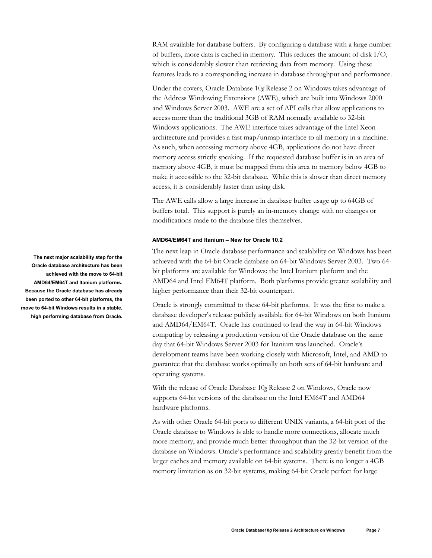RAM available for database buffers. By configuring a database with a large number of buffers, more data is cached in memory. This reduces the amount of disk I/O, which is considerably slower than retrieving data from memory. Using these features leads to a corresponding increase in database throughput and performance.

Under the covers, Oracle Database 10*g* Release 2 on Windows takes advantage of the Address Windowing Extensions (AWE), which are built into Windows 2000 and Windows Server 2003. AWE are a set of API calls that allow applications to access more than the traditional 3GB of RAM normally available to 32-bit Windows applications. The AWE interface takes advantage of the Intel Xeon architecture and provides a fast map/unmap interface to all memory in a machine. As such, when accessing memory above 4GB, applications do not have direct memory access strictly speaking. If the requested database buffer is in an area of memory above 4GB, it must be mapped from this area to memory below 4GB to make it accessible to the 32-bit database. While this is slower than direct memory access, it is considerably faster than using disk.

The AWE calls allow a large increase in database buffer usage up to 64GB of buffers total. This support is purely an in-memory change with no changes or modifications made to the database files themselves.

#### **AMD64/EM64T and Itanium – New for Oracle 10.2**

The next leap in Oracle database performance and scalability on Windows has been achieved with the 64-bit Oracle database on 64-bit Windows Server 2003. Two 64 bit platforms are available for Windows: the Intel Itanium platform and the AMD64 and Intel EM64T platform. Both platforms provide greater scalability and higher performance than their 32-bit counterpart.

Oracle is strongly committed to these 64-bit platforms. It was the first to make a database developer's release publicly available for 64-bit Windows on both Itanium and AMD64/EM64T. Oracle has continued to lead the way in 64-bit Windows computing by releasing a production version of the Oracle database on the same day that 64-bit Windows Server 2003 for Itanium was launched. Oracle's development teams have been working closely with Microsoft, Intel, and AMD to guarantee that the database works optimally on both sets of 64-bit hardware and operating systems.

With the release of Oracle Database 10*g* Release 2 on Windows, Oracle now supports 64-bit versions of the database on the Intel EM64T and AMD64 hardware platforms.

As with other Oracle 64-bit ports to different UNIX variants, a 64-bit port of the Oracle database to Windows is able to handle more connections, allocate much more memory, and provide much better throughput than the 32-bit version of the database on Windows. Oracle's performance and scalability greatly benefit from the larger caches and memory available on 64-bit systems. There is no longer a 4GB memory limitation as on 32-bit systems, making 64-bit Oracle perfect for large

**The next major scalability step for the Oracle database architecture has been achieved with the move to 64-bit AMD64/EM64T and Itanium platforms. Because the Oracle database has already been ported to other 64-bit platforms, the move to 64-bit Windows results in a stable, high performing database from Oracle.**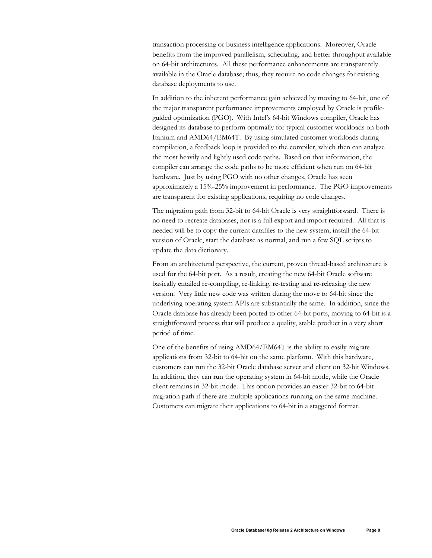transaction processing or business intelligence applications. Moreover, Oracle benefits from the improved parallelism, scheduling, and better throughput available on 64-bit architectures. All these performance enhancements are transparently available in the Oracle database; thus, they require no code changes for existing database deployments to use.

In addition to the inherent performance gain achieved by moving to 64-bit, one of the major transparent performance improvements employed by Oracle is profileguided optimization (PGO). With Intel's 64-bit Windows compiler, Oracle has designed its database to perform optimally for typical customer workloads on both Itanium and AMD64/EM64T. By using simulated customer workloads during compilation, a feedback loop is provided to the compiler, which then can analyze the most heavily and lightly used code paths. Based on that information, the compiler can arrange the code paths to be more efficient when run on 64-bit hardware. Just by using PGO with no other changes, Oracle has seen approximately a 15%-25% improvement in performance. The PGO improvements are transparent for existing applications, requiring no code changes.

The migration path from 32-bit to 64-bit Oracle is very straightforward. There is no need to recreate databases, nor is a full export and import required. All that is needed will be to copy the current datafiles to the new system, install the 64-bit version of Oracle, start the database as normal, and run a few SQL scripts to update the data dictionary.

From an architectural perspective, the current, proven thread-based architecture is used for the 64-bit port. As a result, creating the new 64-bit Oracle software basically entailed re-compiling, re-linking, re-testing and re-releasing the new version. Very little new code was written during the move to 64-bit since the underlying operating system APIs are substantially the same. In addition, since the Oracle database has already been ported to other 64-bit ports, moving to 64-bit is a straightforward process that will produce a quality, stable product in a very short period of time.

One of the benefits of using AMD64/EM64T is the ability to easily migrate applications from 32-bit to 64-bit on the same platform. With this hardware, customers can run the 32-bit Oracle database server and client on 32-bit Windows. In addition, they can run the operating system in 64-bit mode, while the Oracle client remains in 32-bit mode. This option provides an easier 32-bit to 64-bit migration path if there are multiple applications running on the same machine. Customers can migrate their applications to 64-bit in a staggered format.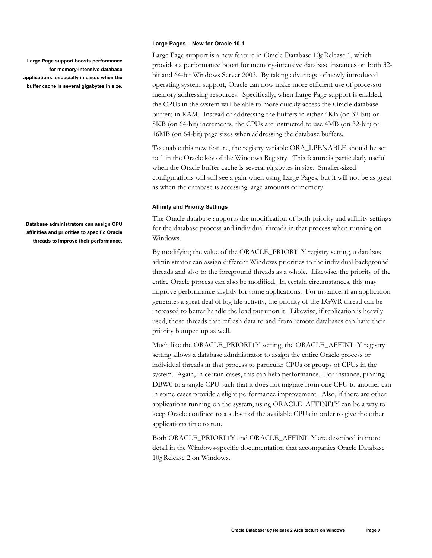**Large Page support boosts performance for memory-intensive database applications, especially in cases when the buffer cache is several gigabytes in size.** 

**Database administrators can assign CPU affinities and priorities to specific Oracle threads to improve their performance**.

#### **Large Pages – New for Oracle 10.1**

Large Page support is a new feature in Oracle Database 10*g* Release 1, which provides a performance boost for memory-intensive database instances on both 32 bit and 64-bit Windows Server 2003. By taking advantage of newly introduced operating system support, Oracle can now make more efficient use of processor memory addressing resources. Specifically, when Large Page support is enabled, the CPUs in the system will be able to more quickly access the Oracle database buffers in RAM. Instead of addressing the buffers in either 4KB (on 32-bit) or 8KB (on 64-bit) increments, the CPUs are instructed to use 4MB (on 32-bit) or 16MB (on 64-bit) page sizes when addressing the database buffers.

To enable this new feature, the registry variable ORA\_LPENABLE should be set to 1 in the Oracle key of the Windows Registry. This feature is particularly useful when the Oracle buffer cache is several gigabytes in size. Smaller-sized configurations will still see a gain when using Large Pages, but it will not be as great as when the database is accessing large amounts of memory.

#### **Affinity and Priority Settings**

The Oracle database supports the modification of both priority and affinity settings for the database process and individual threads in that process when running on Windows.

By modifying the value of the ORACLE\_PRIORITY registry setting, a database administrator can assign different Windows priorities to the individual background threads and also to the foreground threads as a whole. Likewise, the priority of the entire Oracle process can also be modified. In certain circumstances, this may improve performance slightly for some applications. For instance, if an application generates a great deal of log file activity, the priority of the LGWR thread can be increased to better handle the load put upon it. Likewise, if replication is heavily used, those threads that refresh data to and from remote databases can have their priority bumped up as well.

Much like the ORACLE\_PRIORITY setting, the ORACLE\_AFFINITY registry setting allows a database administrator to assign the entire Oracle process or individual threads in that process to particular CPUs or groups of CPUs in the system. Again, in certain cases, this can help performance. For instance, pinning DBW0 to a single CPU such that it does not migrate from one CPU to another can in some cases provide a slight performance improvement. Also, if there are other applications running on the system, using ORACLE\_AFFINITY can be a way to keep Oracle confined to a subset of the available CPUs in order to give the other applications time to run.

Both ORACLE\_PRIORITY and ORACLE\_AFFINITY are described in more detail in the Windows-specific documentation that accompanies Oracle Database 10*g* Release 2 on Windows.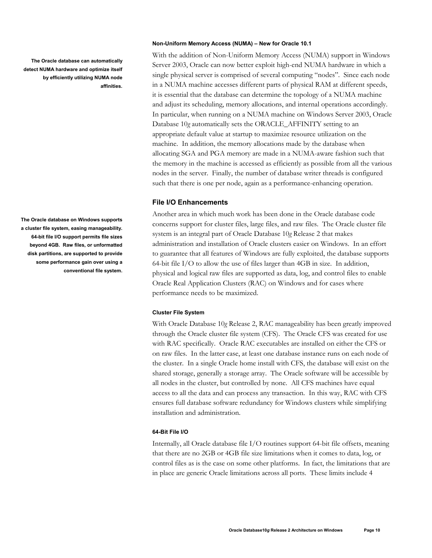**The Oracle database can automatically detect NUMA hardware and optimize itself by efficiently utilizing NUMA node affinities.** 

**The Oracle database on Windows supports a cluster file system, easing manageability. 64-bit file I/O support permits file sizes beyond 4GB. Raw files, or unformatted disk partitions, are supported to provide some performance gain over using a conventional file system.** 

### **Non-Uniform Memory Access (NUMA) – New for Oracle 10.1**

With the addition of Non-Uniform Memory Access (NUMA) support in Windows Server 2003, Oracle can now better exploit high-end NUMA hardware in which a single physical server is comprised of several computing "nodes". Since each node in a NUMA machine accesses different parts of physical RAM at different speeds, it is essential that the database can determine the topology of a NUMA machine and adjust its scheduling, memory allocations, and internal operations accordingly. In particular, when running on a NUMA machine on Windows Server 2003, Oracle Database 10*g* automatically sets the ORACLE\_AFFINITY setting to an appropriate default value at startup to maximize resource utilization on the machine. In addition, the memory allocations made by the database when allocating SGA and PGA memory are made in a NUMA-aware fashion such that the memory in the machine is accessed as efficiently as possible from all the various nodes in the server. Finally, the number of database writer threads is configured such that there is one per node, again as a performance-enhancing operation.

## **File I/O Enhancements**

Another area in which much work has been done in the Oracle database code concerns support for cluster files, large files, and raw files. The Oracle cluster file system is an integral part of Oracle Database 10*g* Release 2 that makes administration and installation of Oracle clusters easier on Windows. In an effort to guarantee that all features of Windows are fully exploited, the database supports 64-bit file I/O to allow the use of files larger than 4GB in size. In addition, physical and logical raw files are supported as data, log, and control files to enable Oracle Real Application Clusters (RAC) on Windows and for cases where performance needs to be maximized.

#### **Cluster File System**

With Oracle Database 10*g* Release 2, RAC manageability has been greatly improved through the Oracle cluster file system (CFS). The Oracle CFS was created for use with RAC specifically. Oracle RAC executables are installed on either the CFS or on raw files. In the latter case, at least one database instance runs on each node of the cluster. In a single Oracle home install with CFS, the database will exist on the shared storage, generally a storage array. The Oracle software will be accessible by all nodes in the cluster, but controlled by none. All CFS machines have equal access to all the data and can process any transaction. In this way, RAC with CFS ensures full database software redundancy for Windows clusters while simplifying installation and administration.

#### **64-Bit File I/O**

Internally, all Oracle database file I/O routines support 64-bit file offsets, meaning that there are no 2GB or 4GB file size limitations when it comes to data, log, or control files as is the case on some other platforms. In fact, the limitations that are in place are generic Oracle limitations across all ports. These limits include 4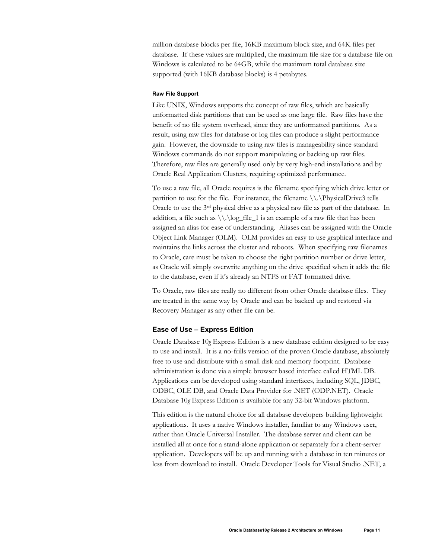million database blocks per file, 16KB maximum block size, and 64K files per database. If these values are multiplied, the maximum file size for a database file on Windows is calculated to be 64GB, while the maximum total database size supported (with 16KB database blocks) is 4 petabytes.

#### **Raw File Support**

Like UNIX, Windows supports the concept of raw files, which are basically unformatted disk partitions that can be used as one large file. Raw files have the benefit of no file system overhead, since they are unformatted partitions. As a result, using raw files for database or log files can produce a slight performance gain. However, the downside to using raw files is manageability since standard Windows commands do not support manipulating or backing up raw files. Therefore, raw files are generally used only by very high-end installations and by Oracle Real Application Clusters, requiring optimized performance.

To use a raw file, all Oracle requires is the filename specifying which drive letter or partition to use for the file. For instance, the filename \\.\PhysicalDrive3 tells Oracle to use the  $3<sup>rd</sup>$  physical drive as a physical raw file as part of the database. In addition, a file such as  $\lvert \lvert \lvert \lvert \lvert$  is an example of a raw file that has been assigned an alias for ease of understanding. Aliases can be assigned with the Oracle Object Link Manager (OLM). OLM provides an easy to use graphical interface and maintains the links across the cluster and reboots. When specifying raw filenames to Oracle, care must be taken to choose the right partition number or drive letter, as Oracle will simply overwrite anything on the drive specified when it adds the file to the database, even if it's already an NTFS or FAT formatted drive.

To Oracle, raw files are really no different from other Oracle database files. They are treated in the same way by Oracle and can be backed up and restored via Recovery Manager as any other file can be.

## **Ease of Use – Express Edition**

Oracle Database 10*g* Express Edition is a new database edition designed to be easy to use and install. It is a no-frills version of the proven Oracle database, absolutely free to use and distribute with a small disk and memory footprint. Database administration is done via a simple browser based interface called HTML DB. Applications can be developed using standard interfaces, including SQL, JDBC, ODBC, OLE DB, and Oracle Data Provider for .NET (ODP.NET). Oracle Database 10*g* Express Edition is available for any 32-bit Windows platform.

This edition is the natural choice for all database developers building lightweight applications. It uses a native Windows installer, familiar to any Windows user, rather than Oracle Universal Installer. The database server and client can be installed all at once for a stand-alone application or separately for a client-server application. Developers will be up and running with a database in ten minutes or less from download to install. Oracle Developer Tools for Visual Studio .NET, a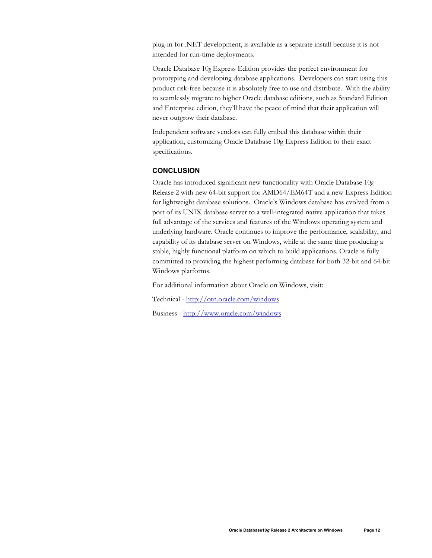plug-in for .NET development, is available as a separate install because it is not intended for run-time deployments.

Oracle Database 10*g* Express Edition provides the perfect environment for prototyping and developing database applications. Developers can start using this product risk-free because it is absolutely free to use and distribute. With the ability to seamlessly migrate to higher Oracle database editions, such as Standard Edition and Enterprise edition, they'll have the peace of mind that their application will never outgrow their database.

Independent software vendors can fully embed this database within their application, customizing Oracle Database 10g Express Edition to their exact specifications.

## **CONCLUSION**

Oracle has introduced significant new functionality with Oracle Database 10*g* Release 2 with new 64-bit support for AMD64/EM64T and a new Express Edition for lightweight database solutions. Oracle's Windows database has evolved from a port of its UNIX database server to a well-integrated native application that takes full advantage of the services and features of the Windows operating system and underlying hardware. Oracle continues to improve the performance, scalability, and capability of its database server on Windows, while at the same time producing a stable, highly functional platform on which to build applications. Oracle is fully committed to providing the highest performing database for both 32-bit and 64-bit Windows platforms.

For additional information about Oracle on Windows, visit:

Technical - http://otn.oracle.com/windows

Business - http://www.oracle.com/windows